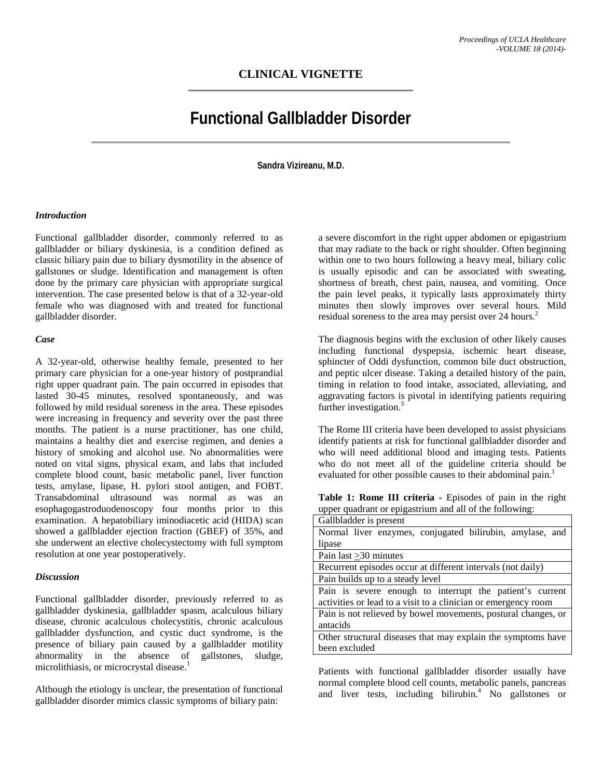## **CLINICAL VIGNETTE**

# **Functional Gallbladder Disorder**

**Sandra Vizireanu, M.D.**

#### *Introduction*

Functional gallbladder disorder, commonly referred to as gallbladder or biliary dyskinesia, is a condition defined as classic biliary pain due to biliary dysmotility in the absence of gallstones or sludge. Identification and management is often done by the primary care physician with appropriate surgical intervention. The case presented below is that of a 32-year-old female who was diagnosed with and treated for functional gallbladder disorder.

#### *Case*

A 32-year-old, otherwise healthy female, presented to her primary care physician for a one-year history of postprandial right upper quadrant pain. The pain occurred in episodes that lasted 30-45 minutes, resolved spontaneously, and was followed by mild residual soreness in the area. These episodes were increasing in frequency and severity over the past three months. The patient is a nurse practitioner, has one child, maintains a healthy diet and exercise regimen, and denies a history of smoking and alcohol use. No abnormalities were noted on vital signs, physical exam, and labs that included complete blood count, basic metabolic panel, liver function tests, amylase, lipase, H. pylori stool antigen, and FOBT. Transabdominal ultrasound was normal as was an esophagogastroduodenoscopy four months prior to this examination. A hepatobiliary iminodiacetic acid (HIDA) scan showed a gallbladder ejection fraction (GBEF) of 35%, and she underwent an elective cholecystectomy with full symptom resolution at one year postoperatively.

#### *Discussion*

Functional gallbladder disorder, previously referred to as gallbladder dyskinesia, gallbladder spasm, acalculous biliary disease, chronic acalculous cholecystitis, chronic acalculous gallbladder dysfunction, and cystic duct syndrome, is the presence of biliary pain caused by a gallbladder motility abnormality in the absence of gallstones, sludge, microlithiasis, or microcrystal disease.<sup>1</sup>

Although the etiology is unclear, the presentation of functional gallbladder disorder mimics classic symptoms of biliary pain:

a severe discomfort in the right upper abdomen or epigastrium that may radiate to the back or right shoulder. Often beginning within one to two hours following a heavy meal, biliary colic is usually episodic and can be associated with sweating, shortness of breath, chest pain, nausea, and vomiting. Once the pain level peaks, it typically lasts approximately thirty minutes then slowly improves over several hours. Mild residual soreness to the area may persist over 24 hours.<sup>2</sup>

The diagnosis begins with the exclusion of other likely causes including functional dyspepsia, ischemic heart disease, sphincter of Oddi dysfunction, common bile duct obstruction, and peptic ulcer disease. Taking a detailed history of the pain, timing in relation to food intake, associated, alleviating, and aggravating factors is pivotal in identifying patients requiring further investigation.<sup>3</sup>

The Rome III criteria have been developed to assist physicians identify patients at risk for functional gallbladder disorder and who will need additional blood and imaging tests. Patients who do not meet all of the guideline criteria should be evaluated for other possible causes to their abdominal pain.<sup>1</sup>

**Table 1: Rome III criteria -** Episodes of pain in the right upper quadrant or epigastrium and all of the following:

| Gallbladder is present                                         |
|----------------------------------------------------------------|
| Normal liver enzymes, conjugated bilirubin, amylase, and       |
| lipase                                                         |
| Pain last > 30 minutes                                         |
| Recurrent episodes occur at different intervals (not daily)    |
| Pain builds up to a steady level                               |
| Pain is severe enough to interrupt the patient's current       |
| activities or lead to a visit to a clinician or emergency room |
| Pain is not relieved by bowel movements, postural changes, or  |
| antacids                                                       |
| Other structural diseases that may explain the symptoms have   |
| been excluded                                                  |
|                                                                |

Patients with functional gallbladder disorder usually have normal complete blood cell counts, metabolic panels, pancreas and liver tests, including bilirubin. $4$  No gallstones or